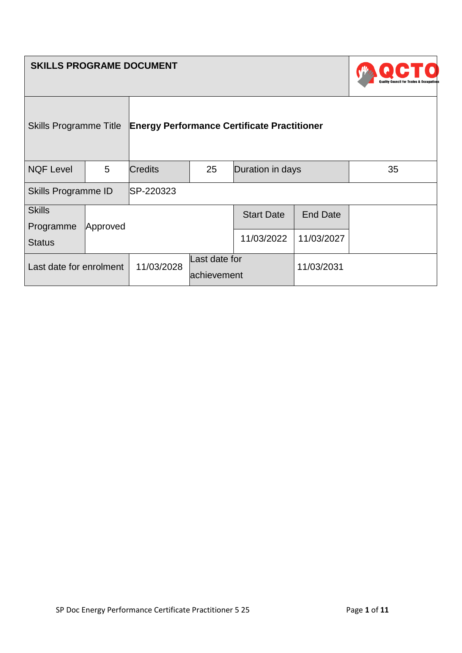| <b>SKILLS PROGRAME DOCUMENT</b> |   |                                                    |                              |                   |                 |    |
|---------------------------------|---|----------------------------------------------------|------------------------------|-------------------|-----------------|----|
| <b>Skills Programme Title</b>   |   | <b>Energy Performance Certificate Practitioner</b> |                              |                   |                 |    |
| <b>NQF Level</b>                | 5 | <b>Credits</b>                                     | 25                           | Duration in days  |                 | 35 |
| Skills Programme ID             |   | SP-220323                                          |                              |                   |                 |    |
| <b>Skills</b>                   |   |                                                    |                              | <b>Start Date</b> | <b>End Date</b> |    |
| Programme<br>Approved           |   |                                                    |                              |                   |                 |    |
| <b>Status</b>                   |   |                                                    |                              | 11/03/2022        | 11/03/2027      |    |
| Last date for enrolment         |   | 11/03/2028                                         | Last date for<br>achievement |                   | 11/03/2031      |    |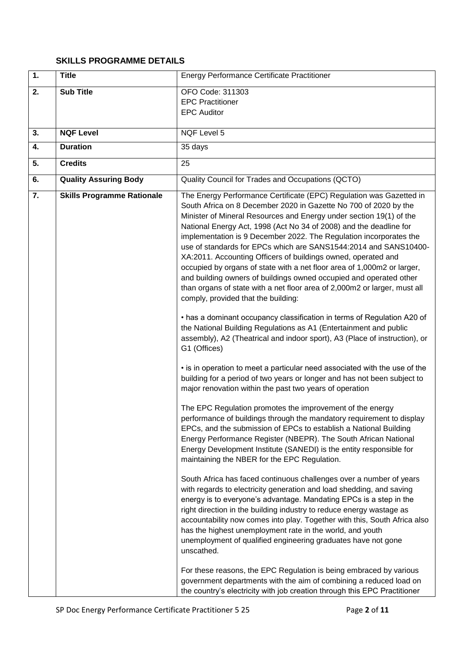## **SKILLS PROGRAMME DETAILS**

| 1. | <b>Title</b>                      | <b>Energy Performance Certificate Practitioner</b>                                                                                                                                                                                                                                                                                                                                                                                                                                                                                                                                                                                                                                                                                                                   |
|----|-----------------------------------|----------------------------------------------------------------------------------------------------------------------------------------------------------------------------------------------------------------------------------------------------------------------------------------------------------------------------------------------------------------------------------------------------------------------------------------------------------------------------------------------------------------------------------------------------------------------------------------------------------------------------------------------------------------------------------------------------------------------------------------------------------------------|
| 2. | <b>Sub Title</b>                  | OFO Code: 311303<br><b>EPC Practitioner</b><br><b>EPC Auditor</b>                                                                                                                                                                                                                                                                                                                                                                                                                                                                                                                                                                                                                                                                                                    |
| 3. | <b>NQF Level</b>                  | NQF Level 5                                                                                                                                                                                                                                                                                                                                                                                                                                                                                                                                                                                                                                                                                                                                                          |
| 4. | <b>Duration</b>                   | 35 days                                                                                                                                                                                                                                                                                                                                                                                                                                                                                                                                                                                                                                                                                                                                                              |
| 5. | <b>Credits</b>                    | 25                                                                                                                                                                                                                                                                                                                                                                                                                                                                                                                                                                                                                                                                                                                                                                   |
| 6. | <b>Quality Assuring Body</b>      | Quality Council for Trades and Occupations (QCTO)                                                                                                                                                                                                                                                                                                                                                                                                                                                                                                                                                                                                                                                                                                                    |
| 7. | <b>Skills Programme Rationale</b> | The Energy Performance Certificate (EPC) Regulation was Gazetted in<br>South Africa on 8 December 2020 in Gazette No 700 of 2020 by the<br>Minister of Mineral Resources and Energy under section 19(1) of the<br>National Energy Act, 1998 (Act No 34 of 2008) and the deadline for<br>implementation is 9 December 2022. The Regulation incorporates the<br>use of standards for EPCs which are SANS1544:2014 and SANS10400-<br>XA:2011. Accounting Officers of buildings owned, operated and<br>occupied by organs of state with a net floor area of 1,000m2 or larger,<br>and building owners of buildings owned occupied and operated other<br>than organs of state with a net floor area of 2,000m2 or larger, must all<br>comply, provided that the building: |
|    |                                   | • has a dominant occupancy classification in terms of Regulation A20 of<br>the National Building Regulations as A1 (Entertainment and public<br>assembly), A2 (Theatrical and indoor sport), A3 (Place of instruction), or<br>G1 (Offices)<br>• is in operation to meet a particular need associated with the use of the<br>building for a period of two years or longer and has not been subject to<br>major renovation within the past two years of operation                                                                                                                                                                                                                                                                                                      |
|    |                                   | The EPC Regulation promotes the improvement of the energy<br>performance of buildings through the mandatory requirement to display<br>EPCs, and the submission of EPCs to establish a National Building<br>Energy Performance Register (NBEPR). The South African National<br>Energy Development Institute (SANEDI) is the entity responsible for<br>maintaining the NBER for the EPC Regulation.                                                                                                                                                                                                                                                                                                                                                                    |
|    |                                   | South Africa has faced continuous challenges over a number of years<br>with regards to electricity generation and load shedding, and saving<br>energy is to everyone's advantage. Mandating EPCs is a step in the<br>right direction in the building industry to reduce energy wastage as<br>accountability now comes into play. Together with this, South Africa also<br>has the highest unemployment rate in the world, and youth<br>unemployment of qualified engineering graduates have not gone<br>unscathed.                                                                                                                                                                                                                                                   |
|    |                                   | For these reasons, the EPC Regulation is being embraced by various<br>government departments with the aim of combining a reduced load on<br>the country's electricity with job creation through this EPC Practitioner                                                                                                                                                                                                                                                                                                                                                                                                                                                                                                                                                |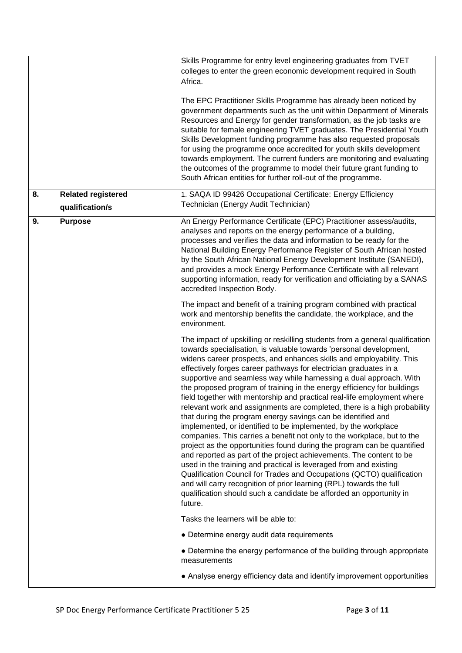| 8. | <b>Related registered</b> | Skills Programme for entry level engineering graduates from TVET<br>colleges to enter the green economic development required in South<br>Africa.<br>The EPC Practitioner Skills Programme has already been noticed by<br>government departments such as the unit within Department of Minerals<br>Resources and Energy for gender transformation, as the job tasks are<br>suitable for female engineering TVET graduates. The Presidential Youth<br>Skills Development funding programme has also requested proposals<br>for using the programme once accredited for youth skills development<br>towards employment. The current funders are monitoring and evaluating<br>the outcomes of the programme to model their future grant funding to<br>South African entities for further roll-out of the programme.<br>1. SAQA ID 99426 Occupational Certificate: Energy Efficiency                                                                                                                                                                                                                                                                                                                                                                                              |
|----|---------------------------|-------------------------------------------------------------------------------------------------------------------------------------------------------------------------------------------------------------------------------------------------------------------------------------------------------------------------------------------------------------------------------------------------------------------------------------------------------------------------------------------------------------------------------------------------------------------------------------------------------------------------------------------------------------------------------------------------------------------------------------------------------------------------------------------------------------------------------------------------------------------------------------------------------------------------------------------------------------------------------------------------------------------------------------------------------------------------------------------------------------------------------------------------------------------------------------------------------------------------------------------------------------------------------|
|    | qualification/s           | Technician (Energy Audit Technician)                                                                                                                                                                                                                                                                                                                                                                                                                                                                                                                                                                                                                                                                                                                                                                                                                                                                                                                                                                                                                                                                                                                                                                                                                                          |
| 9. | <b>Purpose</b>            | An Energy Performance Certificate (EPC) Practitioner assess/audits,<br>analyses and reports on the energy performance of a building,<br>processes and verifies the data and information to be ready for the<br>National Building Energy Performance Register of South African hosted<br>by the South African National Energy Development Institute (SANEDI),<br>and provides a mock Energy Performance Certificate with all relevant<br>supporting information, ready for verification and officiating by a SANAS<br>accredited Inspection Body.                                                                                                                                                                                                                                                                                                                                                                                                                                                                                                                                                                                                                                                                                                                              |
|    |                           | The impact and benefit of a training program combined with practical<br>work and mentorship benefits the candidate, the workplace, and the<br>environment.                                                                                                                                                                                                                                                                                                                                                                                                                                                                                                                                                                                                                                                                                                                                                                                                                                                                                                                                                                                                                                                                                                                    |
|    |                           | The impact of upskilling or reskilling students from a general qualification<br>towards specialisation, is valuable towards 'personal development,<br>widens career prospects, and enhances skills and employability. This<br>effectively forges career pathways for electrician graduates in a<br>supportive and seamless way while harnessing a dual approach. With<br>the proposed program of training in the energy efficiency for buildings<br>field together with mentorship and practical real-life employment where<br>relevant work and assignments are completed, there is a high probability<br>that during the program energy savings can be identified and<br>implemented, or identified to be implemented, by the workplace<br>companies. This carries a benefit not only to the workplace, but to the<br>project as the opportunities found during the program can be quantified<br>and reported as part of the project achievements. The content to be<br>used in the training and practical is leveraged from and existing<br>Qualification Council for Trades and Occupations (QCTO) qualification<br>and will carry recognition of prior learning (RPL) towards the full<br>qualification should such a candidate be afforded an opportunity in<br>future. |
|    |                           | Tasks the learners will be able to:                                                                                                                                                                                                                                                                                                                                                                                                                                                                                                                                                                                                                                                                                                                                                                                                                                                                                                                                                                                                                                                                                                                                                                                                                                           |
|    |                           | • Determine energy audit data requirements<br>• Determine the energy performance of the building through appropriate<br>measurements                                                                                                                                                                                                                                                                                                                                                                                                                                                                                                                                                                                                                                                                                                                                                                                                                                                                                                                                                                                                                                                                                                                                          |
|    |                           | • Analyse energy efficiency data and identify improvement opportunities                                                                                                                                                                                                                                                                                                                                                                                                                                                                                                                                                                                                                                                                                                                                                                                                                                                                                                                                                                                                                                                                                                                                                                                                       |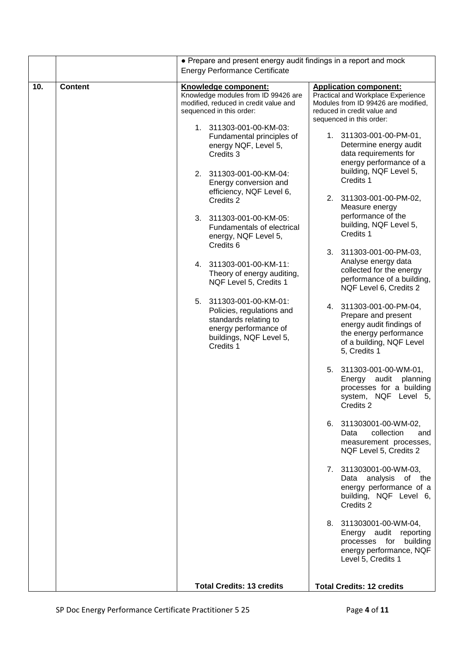|     |                | • Prepare and present energy audit findings in a report and mock<br><b>Energy Performance Certificate</b>                                                                                                                                                                                                                                                                                                                                                                                                                                                                                                                                                                                         |                                                                                                                                                                                                                                                                                                                                                                                                                                                                                                                                                                                                                                                                                                                                                                                                                                                                                                                                                                                                                                                                                                                                                                                                                             |
|-----|----------------|---------------------------------------------------------------------------------------------------------------------------------------------------------------------------------------------------------------------------------------------------------------------------------------------------------------------------------------------------------------------------------------------------------------------------------------------------------------------------------------------------------------------------------------------------------------------------------------------------------------------------------------------------------------------------------------------------|-----------------------------------------------------------------------------------------------------------------------------------------------------------------------------------------------------------------------------------------------------------------------------------------------------------------------------------------------------------------------------------------------------------------------------------------------------------------------------------------------------------------------------------------------------------------------------------------------------------------------------------------------------------------------------------------------------------------------------------------------------------------------------------------------------------------------------------------------------------------------------------------------------------------------------------------------------------------------------------------------------------------------------------------------------------------------------------------------------------------------------------------------------------------------------------------------------------------------------|
| 10. | <b>Content</b> | Knowledge component:<br>Knowledge modules from ID 99426 are<br>modified, reduced in credit value and<br>sequenced in this order:<br>1. 311303-001-00-KM-03:<br>Fundamental principles of<br>energy NQF, Level 5,<br>Credits 3<br>2. 311303-001-00-KM-04:<br>Energy conversion and<br>efficiency, NQF Level 6,<br>Credits 2<br>3. 311303-001-00-KM-05:<br>Fundamentals of electrical<br>energy, NQF Level 5,<br>Credits 6<br>4. 311303-001-00-KM-11:<br>Theory of energy auditing,<br>NQF Level 5, Credits 1<br>5. 311303-001-00-KM-01:<br>Policies, regulations and<br>standards relating to<br>energy performance of<br>buildings, NQF Level 5,<br>Credits 1<br><b>Total Credits: 13 credits</b> | <b>Application component:</b><br>Practical and Workplace Experience<br>Modules from ID 99426 are modified,<br>reduced in credit value and<br>sequenced in this order:<br>1. 311303-001-00-PM-01,<br>Determine energy audit<br>data requirements for<br>energy performance of a<br>building, NQF Level 5,<br>Credits 1<br>2. 311303-001-00-PM-02,<br>Measure energy<br>performance of the<br>building, NQF Level 5,<br>Credits 1<br>3. 311303-001-00-PM-03,<br>Analyse energy data<br>collected for the energy<br>performance of a building,<br>NQF Level 6, Credits 2<br>4. 311303-001-00-PM-04,<br>Prepare and present<br>energy audit findings of<br>the energy performance<br>of a building, NQF Level<br>5, Credits 1<br>5. 311303-001-00-WM-01,<br>Energy<br>audit<br>planning<br>processes for a building<br>system, NQF Level 5,<br>Credits 2<br>6. 311303001-00-WM-02,<br>collection<br>Data<br>and<br>measurement processes,<br>NQF Level 5, Credits 2<br>7. 311303001-00-WM-03,<br>analysis<br>of the<br>Data<br>energy performance of a<br>building, NQF Level 6,<br>Credits 2<br>8. 311303001-00-WM-04,<br>Energy audit reporting<br>processes for<br>building<br>energy performance, NQF<br>Level 5, Credits 1 |
|     |                |                                                                                                                                                                                                                                                                                                                                                                                                                                                                                                                                                                                                                                                                                                   | <b>Total Credits: 12 credits</b>                                                                                                                                                                                                                                                                                                                                                                                                                                                                                                                                                                                                                                                                                                                                                                                                                                                                                                                                                                                                                                                                                                                                                                                            |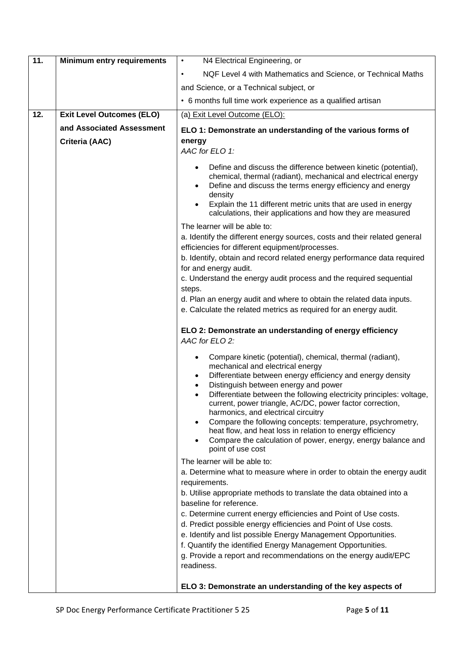| 11. | <b>Minimum entry requirements</b> | N4 Electrical Engineering, or<br>$\bullet$                                                                                                                                                                                                                                                                                             |
|-----|-----------------------------------|----------------------------------------------------------------------------------------------------------------------------------------------------------------------------------------------------------------------------------------------------------------------------------------------------------------------------------------|
|     |                                   | NQF Level 4 with Mathematics and Science, or Technical Maths<br>٠                                                                                                                                                                                                                                                                      |
|     |                                   | and Science, or a Technical subject, or                                                                                                                                                                                                                                                                                                |
|     |                                   | • 6 months full time work experience as a qualified artisan                                                                                                                                                                                                                                                                            |
| 12. | <b>Exit Level Outcomes (ELO)</b>  | (a) Exit Level Outcome (ELO):                                                                                                                                                                                                                                                                                                          |
|     | and Associated Assessment         | ELO 1: Demonstrate an understanding of the various forms of                                                                                                                                                                                                                                                                            |
|     | Criteria (AAC)                    | energy                                                                                                                                                                                                                                                                                                                                 |
|     |                                   | AAC for ELO 1:                                                                                                                                                                                                                                                                                                                         |
|     |                                   | Define and discuss the difference between kinetic (potential),<br>chemical, thermal (radiant), mechanical and electrical energy<br>Define and discuss the terms energy efficiency and energy<br>density<br>Explain the 11 different metric units that are used in energy<br>calculations, their applications and how they are measured |
|     |                                   | The learner will be able to:                                                                                                                                                                                                                                                                                                           |
|     |                                   | a. Identify the different energy sources, costs and their related general<br>efficiencies for different equipment/processes.                                                                                                                                                                                                           |
|     |                                   | b. Identify, obtain and record related energy performance data required<br>for and energy audit.                                                                                                                                                                                                                                       |
|     |                                   | c. Understand the energy audit process and the required sequential<br>steps.                                                                                                                                                                                                                                                           |
|     |                                   | d. Plan an energy audit and where to obtain the related data inputs.                                                                                                                                                                                                                                                                   |
|     |                                   | e. Calculate the related metrics as required for an energy audit.                                                                                                                                                                                                                                                                      |
|     |                                   | ELO 2: Demonstrate an understanding of energy efficiency<br>AAC for ELO 2:                                                                                                                                                                                                                                                             |
|     |                                   | Compare kinetic (potential), chemical, thermal (radiant),<br>mechanical and electrical energy<br>Differentiate between energy efficiency and energy density                                                                                                                                                                            |
|     |                                   | Distinguish between energy and power<br>$\bullet$<br>Differentiate between the following electricity principles: voltage,<br>current, power triangle, AC/DC, power factor correction,<br>harmonics, and electrical circuitry                                                                                                           |
|     |                                   | Compare the following concepts: temperature, psychrometry,<br>heat flow, and heat loss in relation to energy efficiency                                                                                                                                                                                                                |
|     |                                   | Compare the calculation of power, energy, energy balance and<br>$\bullet$<br>point of use cost                                                                                                                                                                                                                                         |
|     |                                   | The learner will be able to:                                                                                                                                                                                                                                                                                                           |
|     |                                   | a. Determine what to measure where in order to obtain the energy audit<br>requirements.                                                                                                                                                                                                                                                |
|     |                                   | b. Utilise appropriate methods to translate the data obtained into a                                                                                                                                                                                                                                                                   |
|     |                                   | baseline for reference.                                                                                                                                                                                                                                                                                                                |
|     |                                   | c. Determine current energy efficiencies and Point of Use costs.<br>d. Predict possible energy efficiencies and Point of Use costs.                                                                                                                                                                                                    |
|     |                                   | e. Identify and list possible Energy Management Opportunities.                                                                                                                                                                                                                                                                         |
|     |                                   | f. Quantify the identified Energy Management Opportunities.                                                                                                                                                                                                                                                                            |
|     |                                   | g. Provide a report and recommendations on the energy audit/EPC<br>readiness.                                                                                                                                                                                                                                                          |
|     |                                   | ELO 3: Demonstrate an understanding of the key aspects of                                                                                                                                                                                                                                                                              |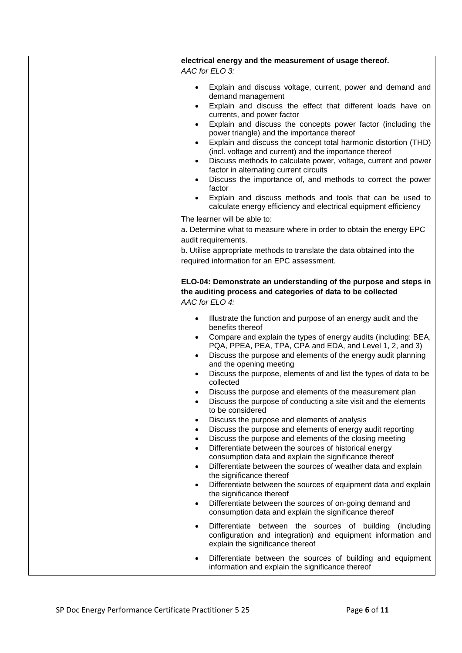| electrical energy and the measurement of usage thereof.<br>AAC for ELO 3:                                                                                                                                                                                                                                                                                                                                                                                                                                                                                                                                                                                                                                                                                                                                                                                                                                                                                                                                                                                                                                                                                                                                                                                  |
|------------------------------------------------------------------------------------------------------------------------------------------------------------------------------------------------------------------------------------------------------------------------------------------------------------------------------------------------------------------------------------------------------------------------------------------------------------------------------------------------------------------------------------------------------------------------------------------------------------------------------------------------------------------------------------------------------------------------------------------------------------------------------------------------------------------------------------------------------------------------------------------------------------------------------------------------------------------------------------------------------------------------------------------------------------------------------------------------------------------------------------------------------------------------------------------------------------------------------------------------------------|
| Explain and discuss voltage, current, power and demand and<br>demand management<br>Explain and discuss the effect that different loads have on<br>currents, and power factor<br>Explain and discuss the concepts power factor (including the<br>power triangle) and the importance thereof<br>Explain and discuss the concept total harmonic distortion (THD)<br>(incl. voltage and current) and the importance thereof<br>Discuss methods to calculate power, voltage, current and power<br>factor in alternating current circuits<br>Discuss the importance of, and methods to correct the power<br>factor<br>Explain and discuss methods and tools that can be used to<br>calculate energy efficiency and electrical equipment efficiency                                                                                                                                                                                                                                                                                                                                                                                                                                                                                                               |
| The learner will be able to:<br>a. Determine what to measure where in order to obtain the energy EPC<br>audit requirements.<br>b. Utilise appropriate methods to translate the data obtained into the<br>required information for an EPC assessment.                                                                                                                                                                                                                                                                                                                                                                                                                                                                                                                                                                                                                                                                                                                                                                                                                                                                                                                                                                                                       |
| ELO-04: Demonstrate an understanding of the purpose and steps in<br>the auditing process and categories of data to be collected<br>AAC for ELO 4:                                                                                                                                                                                                                                                                                                                                                                                                                                                                                                                                                                                                                                                                                                                                                                                                                                                                                                                                                                                                                                                                                                          |
| Illustrate the function and purpose of an energy audit and the<br>benefits thereof<br>Compare and explain the types of energy audits (including: BEA,<br>PQA, PPEA, PEA, TPA, CPA and EDA, and Level 1, 2, and 3)<br>Discuss the purpose and elements of the energy audit planning<br>and the opening meeting<br>Discuss the purpose, elements of and list the types of data to be<br>collected<br>Discuss the purpose and elements of the measurement plan<br>Discuss the purpose of conducting a site visit and the elements<br>to be considered<br>Discuss the purpose and elements of analysis<br>$\bullet$<br>Discuss the purpose and elements of energy audit reporting<br>$\bullet$<br>Discuss the purpose and elements of the closing meeting<br>$\bullet$<br>Differentiate between the sources of historical energy<br>$\bullet$<br>consumption data and explain the significance thereof<br>Differentiate between the sources of weather data and explain<br>$\bullet$<br>the significance thereof<br>Differentiate between the sources of equipment data and explain<br>$\bullet$<br>the significance thereof<br>Differentiate between the sources of on-going demand and<br>$\bullet$<br>consumption data and explain the significance thereof |
| Differentiate between the sources of building (including<br>$\bullet$<br>configuration and integration) and equipment information and<br>explain the significance thereof<br>Differentiate between the sources of building and equipment<br>information and explain the significance thereof                                                                                                                                                                                                                                                                                                                                                                                                                                                                                                                                                                                                                                                                                                                                                                                                                                                                                                                                                               |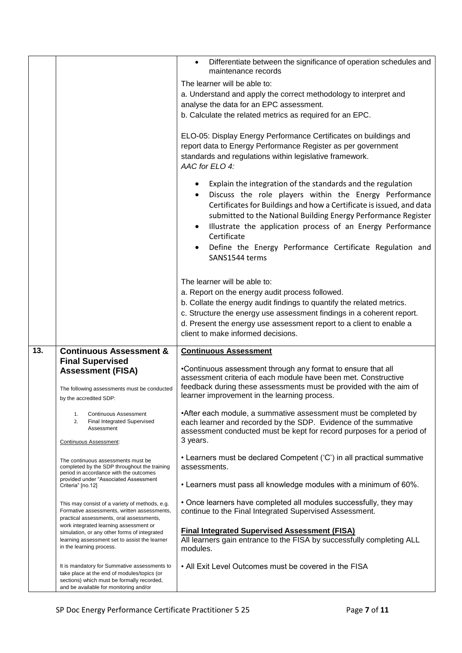|     |                                                                                                                                                                                     | Differentiate between the significance of operation schedules and<br>maintenance records                                                                                                                                                                                                                                                                                                                                    |
|-----|-------------------------------------------------------------------------------------------------------------------------------------------------------------------------------------|-----------------------------------------------------------------------------------------------------------------------------------------------------------------------------------------------------------------------------------------------------------------------------------------------------------------------------------------------------------------------------------------------------------------------------|
|     |                                                                                                                                                                                     | The learner will be able to:                                                                                                                                                                                                                                                                                                                                                                                                |
|     |                                                                                                                                                                                     | a. Understand and apply the correct methodology to interpret and                                                                                                                                                                                                                                                                                                                                                            |
|     |                                                                                                                                                                                     | analyse the data for an EPC assessment.                                                                                                                                                                                                                                                                                                                                                                                     |
|     |                                                                                                                                                                                     | b. Calculate the related metrics as required for an EPC.                                                                                                                                                                                                                                                                                                                                                                    |
|     |                                                                                                                                                                                     |                                                                                                                                                                                                                                                                                                                                                                                                                             |
|     |                                                                                                                                                                                     | ELO-05: Display Energy Performance Certificates on buildings and<br>report data to Energy Performance Register as per government<br>standards and regulations within legislative framework.<br>AAC for ELO 4:                                                                                                                                                                                                               |
|     |                                                                                                                                                                                     | Explain the integration of the standards and the regulation<br>Discuss the role players within the Energy Performance<br>Certificates for Buildings and how a Certificate is issued, and data<br>submitted to the National Building Energy Performance Register<br>Illustrate the application process of an Energy Performance<br>Certificate<br>Define the Energy Performance Certificate Regulation and<br>SANS1544 terms |
|     |                                                                                                                                                                                     | The learner will be able to:                                                                                                                                                                                                                                                                                                                                                                                                |
|     |                                                                                                                                                                                     | a. Report on the energy audit process followed.                                                                                                                                                                                                                                                                                                                                                                             |
|     |                                                                                                                                                                                     | b. Collate the energy audit findings to quantify the related metrics.                                                                                                                                                                                                                                                                                                                                                       |
|     |                                                                                                                                                                                     | c. Structure the energy use assessment findings in a coherent report.                                                                                                                                                                                                                                                                                                                                                       |
|     |                                                                                                                                                                                     | d. Present the energy use assessment report to a client to enable a                                                                                                                                                                                                                                                                                                                                                         |
|     |                                                                                                                                                                                     | client to make informed decisions.                                                                                                                                                                                                                                                                                                                                                                                          |
| 13. |                                                                                                                                                                                     |                                                                                                                                                                                                                                                                                                                                                                                                                             |
|     | <b>Continuous Assessment &amp;</b><br><b>Final Supervised</b>                                                                                                                       | <b>Continuous Assessment</b>                                                                                                                                                                                                                                                                                                                                                                                                |
|     | <b>Assessment (FISA)</b><br>The following assessments must be conducted                                                                                                             | •Continuous assessment through any format to ensure that all<br>assessment criteria of each module have been met. Constructive<br>feedback during these assessments must be provided with the aim of                                                                                                                                                                                                                        |
|     | by the accredited SDP:                                                                                                                                                              | learner improvement in the learning process.                                                                                                                                                                                                                                                                                                                                                                                |
|     | <b>Continuous Assessment</b><br>1.<br>Final Integrated Supervised<br>2.<br>Assessment                                                                                               | • After each module, a summative assessment must be completed by<br>each learner and recorded by the SDP. Evidence of the summative<br>assessment conducted must be kept for record purposes for a period of<br>3 years.                                                                                                                                                                                                    |
|     | Continuous Assessment:                                                                                                                                                              |                                                                                                                                                                                                                                                                                                                                                                                                                             |
|     | The continuous assessments must be<br>completed by the SDP throughout the training<br>period in accordance with the outcomes                                                        | • Learners must be declared Competent ('C') in all practical summative<br>assessments.                                                                                                                                                                                                                                                                                                                                      |
|     | provided under "Associated Assessment<br>Criteria" [no.12]                                                                                                                          | . Learners must pass all knowledge modules with a minimum of 60%.                                                                                                                                                                                                                                                                                                                                                           |
|     | This may consist of a variety of methods, e.g.<br>Formative assessments, written assessments,<br>practical assessments, oral assessments,                                           | • Once learners have completed all modules successfully, they may<br>continue to the Final Integrated Supervised Assessment.                                                                                                                                                                                                                                                                                                |
|     | work integrated learning assessment or<br>simulation, or any other forms of integrated<br>learning assessment set to assist the learner<br>in the learning process.                 | <b>Final Integrated Supervised Assessment (FISA)</b><br>All learners gain entrance to the FISA by successfully completing ALL<br>modules.                                                                                                                                                                                                                                                                                   |
|     | It is mandatory for Summative assessments to<br>take place at the end of modules/topics (or<br>sections) which must be formally recorded,<br>and be available for monitoring and/or | • All Exit Level Outcomes must be covered in the FISA                                                                                                                                                                                                                                                                                                                                                                       |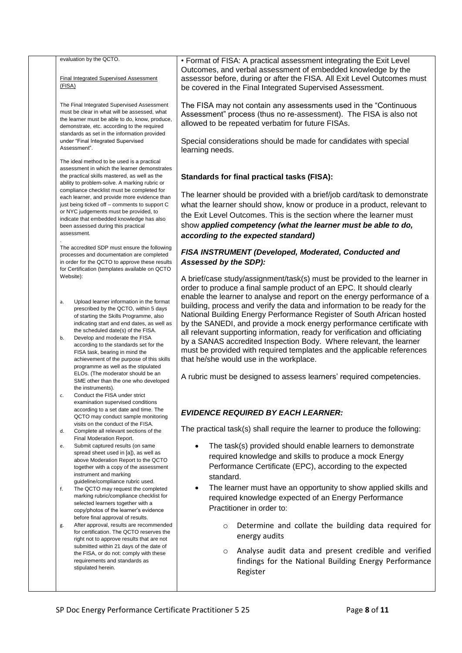|          | evaluation by the QCTO.<br>Final Integrated Supervised Assessment<br>(FISA)                                                                                                                                                                                                              | • Format of FISA: A practical assessment integrating the Exit Level<br>Outcomes, and verbal assessment of embedded knowledge by the<br>assessor before, during or after the FISA. All Exit Level Outcomes must<br>be covered in the Final Integrated Supervised Assessment.                                                                                                      |
|----------|------------------------------------------------------------------------------------------------------------------------------------------------------------------------------------------------------------------------------------------------------------------------------------------|----------------------------------------------------------------------------------------------------------------------------------------------------------------------------------------------------------------------------------------------------------------------------------------------------------------------------------------------------------------------------------|
|          | The Final Integrated Supervised Assessment<br>must be clear in what will be assessed, what<br>the learner must be able to do, know, produce,<br>demonstrate, etc. according to the required                                                                                              | The FISA may not contain any assessments used in the "Continuous"<br>Assessment" process (thus no re-assessment). The FISA is also not<br>allowed to be repeated verbatim for future FISAs.                                                                                                                                                                                      |
|          | standards as set in the information provided<br>under "Final Integrated Supervised<br>Assessment".                                                                                                                                                                                       | Special considerations should be made for candidates with special<br>learning needs.                                                                                                                                                                                                                                                                                             |
|          | The ideal method to be used is a practical<br>assessment in which the learner demonstrates<br>the practical skills mastered, as well as the<br>ability to problem-solve. A marking rubric or                                                                                             | <b>Standards for final practical tasks (FISA):</b>                                                                                                                                                                                                                                                                                                                               |
|          | compliance checklist must be completed for<br>each learner, and provide more evidence than<br>just being ticked off – comments to support C<br>or NYC judgements must be provided, to<br>indicate that embedded knowledge has also<br>been assessed during this practical<br>assessment. | The learner should be provided with a brief/job card/task to demonstrate<br>what the learner should show, know or produce in a product, relevant to<br>the Exit Level Outcomes. This is the section where the learner must<br>show applied competency (what the learner must be able to do,<br>according to the expected standard)                                               |
|          | The accredited SDP must ensure the following<br>processes and documentation are completed<br>in order for the QCTO to approve these results<br>for Certification (templates available on QCTO                                                                                            | FISA INSTRUMENT (Developed, Moderated, Conducted and<br>Assessed by the SDP):                                                                                                                                                                                                                                                                                                    |
|          | Website):                                                                                                                                                                                                                                                                                | A brief/case study/assignment/task(s) must be provided to the learner in<br>order to produce a final sample product of an EPC. It should clearly<br>enable the learner to analyse and report on the energy performance of a                                                                                                                                                      |
| a.<br>b. | Upload learner information in the format<br>prescribed by the QCTO, within 5 days<br>of starting the Skills Programme, also<br>indicating start and end dates, as well as<br>the scheduled date(s) of the FISA.<br>Develop and moderate the FISA                                         | building, process and verify the data and information to be ready for the<br>National Building Energy Performance Register of South African hosted<br>by the SANEDI, and provide a mock energy performance certificate with<br>all relevant supporting information, ready for verification and officiating<br>by a SANAS accredited Inspection Body. Where relevant, the learner |
|          | according to the standards set for the<br>FISA task, bearing in mind the<br>achievement of the purpose of this skills<br>programme as well as the stipulated                                                                                                                             | must be provided with required templates and the applicable references<br>that he/she would use in the workplace.                                                                                                                                                                                                                                                                |
|          | ELOs. (The moderator should be an<br>SME other than the one who developed<br>the instruments).                                                                                                                                                                                           | A rubric must be designed to assess learners' required competencies.                                                                                                                                                                                                                                                                                                             |
| c.       | Conduct the FISA under strict<br>examination supervised conditions<br>according to a set date and time. The<br>QCTO may conduct sample monitoring                                                                                                                                        | <b>EVIDENCE REQUIRED BY EACH LEARNER:</b>                                                                                                                                                                                                                                                                                                                                        |
| d.       | visits on the conduct of the FISA.<br>Complete all relevant sections of the<br>Final Moderation Report.                                                                                                                                                                                  | The practical task(s) shall require the learner to produce the following:                                                                                                                                                                                                                                                                                                        |
| е.       | Submit captured results (on same<br>spread sheet used in [a]), as well as<br>above Moderation Report to the QCTO<br>together with a copy of the assessment<br>instrument and marking                                                                                                     | The task(s) provided should enable learners to demonstrate<br>$\bullet$<br>required knowledge and skills to produce a mock Energy<br>Performance Certificate (EPC), according to the expected<br>standard.                                                                                                                                                                       |
| f.       | guideline/compliance rubric used.<br>The QCTO may request the completed<br>marking rubric/compliance checklist for<br>selected learners together with a<br>copy/photos of the learner's evidence<br>before final approval of results.                                                    | The learner must have an opportunity to show applied skills and<br>$\bullet$<br>required knowledge expected of an Energy Performance<br>Practitioner in order to:                                                                                                                                                                                                                |
| g.       | After approval, results are recommended<br>for certification. The QCTO reserves the<br>right not to approve results that are not                                                                                                                                                         | Determine and collate the building data required for<br>$\circ$<br>energy audits                                                                                                                                                                                                                                                                                                 |
|          | submitted within 21 days of the date of<br>the FISA, or do not: comply with these<br>requirements and standards as<br>stipulated herein.                                                                                                                                                 | Analyse audit data and present credible and verified<br>$\circ$<br>findings for the National Building Energy Performance<br>Register                                                                                                                                                                                                                                             |
|          |                                                                                                                                                                                                                                                                                          |                                                                                                                                                                                                                                                                                                                                                                                  |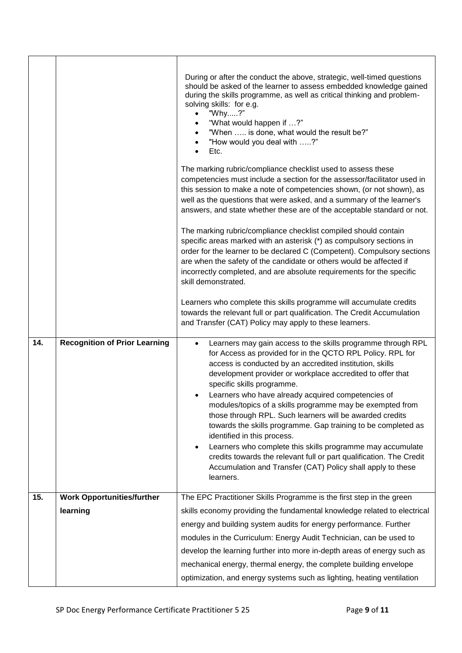|     |                                      | During or after the conduct the above, strategic, well-timed questions<br>should be asked of the learner to assess embedded knowledge gained<br>during the skills programme, as well as critical thinking and problem-<br>solving skills: for e.g.<br>"Why?"<br>"What would happen if ?"<br>"When  is done, what would the result be?"<br>"How would you deal with ?"<br>Etc.<br>The marking rubric/compliance checklist used to assess these<br>competencies must include a section for the assessor/facilitator used in<br>this session to make a note of competencies shown, (or not shown), as<br>well as the questions that were asked, and a summary of the learner's<br>answers, and state whether these are of the acceptable standard or not.<br>The marking rubric/compliance checklist compiled should contain<br>specific areas marked with an asterisk (*) as compulsory sections in<br>order for the learner to be declared C (Competent). Compulsory sections<br>are when the safety of the candidate or others would be affected if<br>incorrectly completed, and are absolute requirements for the specific<br>skill demonstrated. |
|-----|--------------------------------------|-----------------------------------------------------------------------------------------------------------------------------------------------------------------------------------------------------------------------------------------------------------------------------------------------------------------------------------------------------------------------------------------------------------------------------------------------------------------------------------------------------------------------------------------------------------------------------------------------------------------------------------------------------------------------------------------------------------------------------------------------------------------------------------------------------------------------------------------------------------------------------------------------------------------------------------------------------------------------------------------------------------------------------------------------------------------------------------------------------------------------------------------------------|
|     |                                      | Learners who complete this skills programme will accumulate credits<br>towards the relevant full or part qualification. The Credit Accumulation<br>and Transfer (CAT) Policy may apply to these learners.                                                                                                                                                                                                                                                                                                                                                                                                                                                                                                                                                                                                                                                                                                                                                                                                                                                                                                                                           |
| 14. | <b>Recognition of Prior Learning</b> | Learners may gain access to the skills programme through RPL<br>$\bullet$<br>for Access as provided for in the QCTO RPL Policy. RPL for<br>access is conducted by an accredited institution, skills<br>development provider or workplace accredited to offer that<br>specific skills programme.<br>Learners who have already acquired competencies of<br>modules/topics of a skills programme may be exempted from<br>those through RPL. Such learners will be awarded credits<br>towards the skills programme. Gap training to be completed as<br>identified in this process.<br>Learners who complete this skills programme may accumulate<br>$\bullet$<br>credits towards the relevant full or part qualification. The Credit<br>Accumulation and Transfer (CAT) Policy shall apply to these<br>learners.                                                                                                                                                                                                                                                                                                                                        |
| 15. | <b>Work Opportunities/further</b>    | The EPC Practitioner Skills Programme is the first step in the green                                                                                                                                                                                                                                                                                                                                                                                                                                                                                                                                                                                                                                                                                                                                                                                                                                                                                                                                                                                                                                                                                |
|     | learning                             | skills economy providing the fundamental knowledge related to electrical                                                                                                                                                                                                                                                                                                                                                                                                                                                                                                                                                                                                                                                                                                                                                                                                                                                                                                                                                                                                                                                                            |
|     |                                      | energy and building system audits for energy performance. Further                                                                                                                                                                                                                                                                                                                                                                                                                                                                                                                                                                                                                                                                                                                                                                                                                                                                                                                                                                                                                                                                                   |
|     |                                      | modules in the Curriculum: Energy Audit Technician, can be used to                                                                                                                                                                                                                                                                                                                                                                                                                                                                                                                                                                                                                                                                                                                                                                                                                                                                                                                                                                                                                                                                                  |
|     |                                      | develop the learning further into more in-depth areas of energy such as                                                                                                                                                                                                                                                                                                                                                                                                                                                                                                                                                                                                                                                                                                                                                                                                                                                                                                                                                                                                                                                                             |
|     |                                      | mechanical energy, thermal energy, the complete building envelope                                                                                                                                                                                                                                                                                                                                                                                                                                                                                                                                                                                                                                                                                                                                                                                                                                                                                                                                                                                                                                                                                   |
|     |                                      | optimization, and energy systems such as lighting, heating ventilation                                                                                                                                                                                                                                                                                                                                                                                                                                                                                                                                                                                                                                                                                                                                                                                                                                                                                                                                                                                                                                                                              |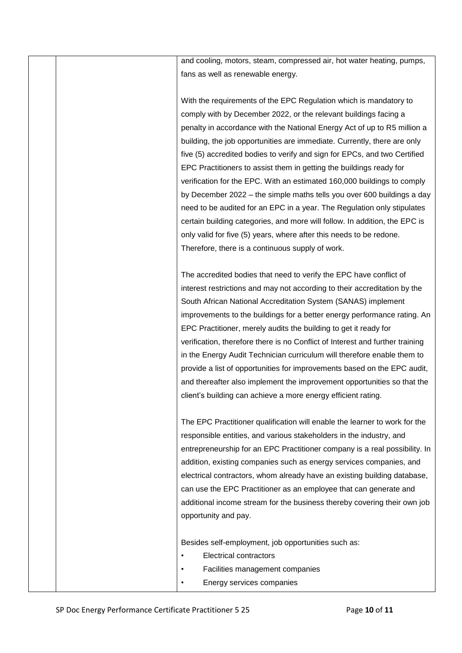and cooling, motors, steam, compressed air, hot water heating, pumps, fans as well as renewable energy.

With the requirements of the EPC Regulation which is mandatory to comply with by December 2022, or the relevant buildings facing a penalty in accordance with the National Energy Act of up to R5 million a building, the job opportunities are immediate. Currently, there are only five (5) accredited bodies to verify and sign for EPCs, and two Certified EPC Practitioners to assist them in getting the buildings ready for verification for the EPC. With an estimated 160,000 buildings to comply by December 2022 – the simple maths tells you over 600 buildings a day need to be audited for an EPC in a year. The Regulation only stipulates certain building categories, and more will follow. In addition, the EPC is only valid for five (5) years, where after this needs to be redone. Therefore, there is a continuous supply of work.

The accredited bodies that need to verify the EPC have conflict of interest restrictions and may not according to their accreditation by the South African National Accreditation System (SANAS) implement improvements to the buildings for a better energy performance rating. An EPC Practitioner, merely audits the building to get it ready for verification, therefore there is no Conflict of Interest and further training in the Energy Audit Technician curriculum will therefore enable them to provide a list of opportunities for improvements based on the EPC audit, and thereafter also implement the improvement opportunities so that the client's building can achieve a more energy efficient rating.

The EPC Practitioner qualification will enable the learner to work for the responsible entities, and various stakeholders in the industry, and entrepreneurship for an EPC Practitioner company is a real possibility. In addition, existing companies such as energy services companies, and electrical contractors, whom already have an existing building database, can use the EPC Practitioner as an employee that can generate and additional income stream for the business thereby covering their own job opportunity and pay.

Besides self-employment, job opportunities such as:

- **Electrical contractors**
- Facilities management companies
	- Energy services companies